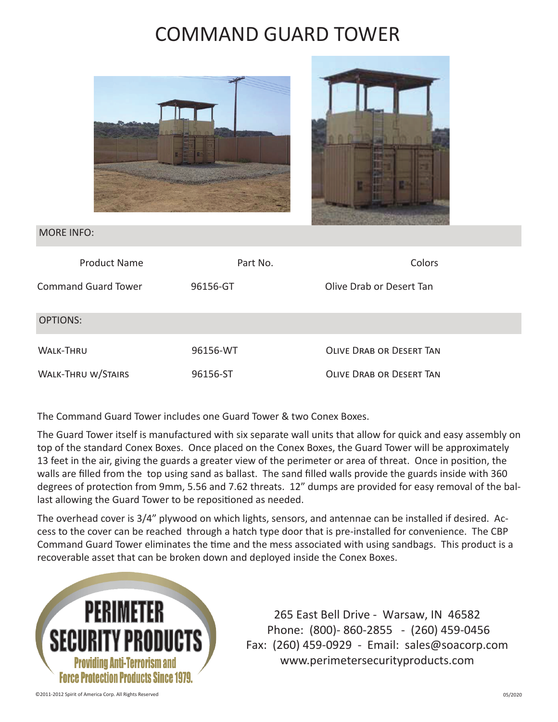## COMMAND GUARD TOWER





## MORE INFO:

| <b>Product Name</b>        | Part No. | Colors                          |
|----------------------------|----------|---------------------------------|
| <b>Command Guard Tower</b> | 96156-GT | Olive Drab or Desert Tan        |
| OPTIONS:                   |          |                                 |
| <b>WALK-THRU</b>           | 96156-WT | <b>OLIVE DRAB OR DESERT TAN</b> |
| <b>WALK-THRU W/STAIRS</b>  | 96156-ST | <b>OLIVE DRAB OR DESERT TAN</b> |

The Command Guard Tower includes one Guard Tower & two Conex Boxes.

The Guard Tower itself is manufactured with six separate wall units that allow for quick and easy assembly on top of the standard Conex Boxes. Once placed on the Conex Boxes, the Guard Tower will be approximately 13 feet in the air, giving the guards a greater view of the perimeter or area of threat. Once in position, the walls are filled from the top using sand as ballast. The sand filled walls provide the guards inside with 360 degrees of protection from 9mm, 5.56 and 7.62 threats. 12" dumps are provided for easy removal of the ballast allowing the Guard Tower to be repositioned as needed.

The overhead cover is 3/4" plywood on which lights, sensors, and antennae can be installed if desired. Access to the cover can be reached through a hatch type door that is pre-installed for convenience. The CBP Command Guard Tower eliminates the time and the mess associated with using sandbags. This product is a recoverable asset that can be broken down and deployed inside the Conex Boxes.



265 East Bell Drive - Warsaw, IN 46582 Phone: (800)- 860-2855 - (260) 459-0456 Fax: (260) 459-0929 - Email: sales@soacorp.com www.perimetersecurityproducts.com